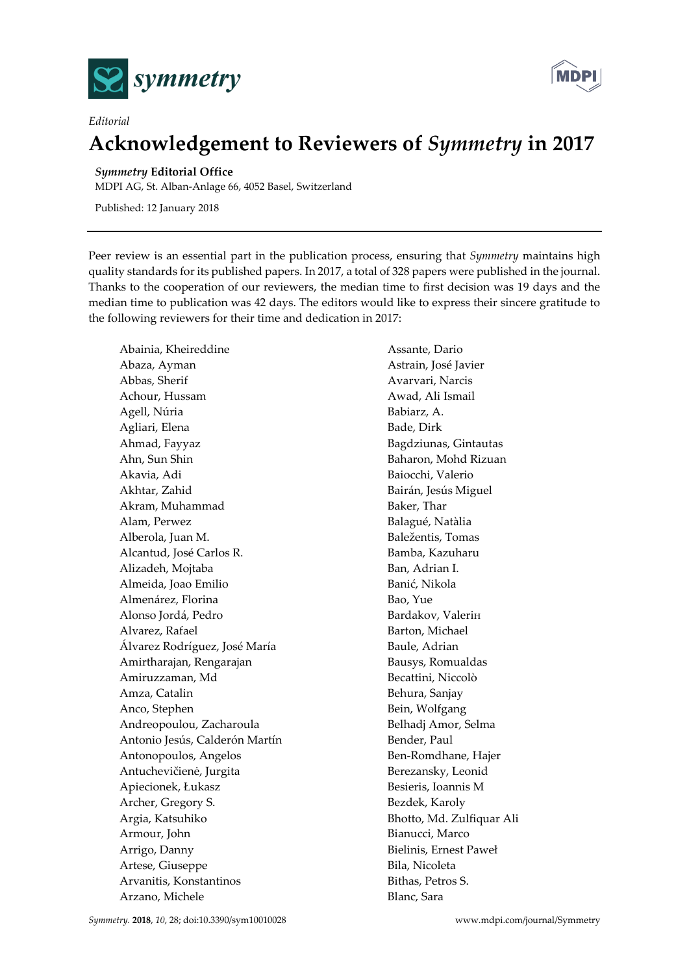

*Editorial*



## **Acknowledgement to Reviewers of** *Symmetry* **in 2017**

## *Symmetry* **Editorial Office**

MDPI AG, St. Alban-Anlage 66, 4052 Basel, Switzerland

Published: 12 January 2018

Peer review is an essential part in the publication process, ensuring that *Symmetry* maintains high quality standards for its published papers. In 2017, a total of 328 papers were published in the journal. Thanks to the cooperation of our reviewers, the median time to first decision was 19 days and the median time to publication was 42 days. The editors would like to express their sincere gratitude to the following reviewers for their time and dedication in 2017:

Abainia, Kheireddine Abaza, Ayman Abbas, Sherif Achour, Hussam Agell, Núria Agliari, Elena Ahmad, Fayyaz Ahn, Sun Shin Akavia, Adi Akhtar, Zahid Akram, Muhammad Alam, Perwez Alberola, Juan M. Alcantud, José Carlos R. Alizadeh, Mojtaba Almeida, Joao Emilio Almenárez, Florina Alonso Jordá, Pedro Alvarez, Rafael Álvarez Rodríguez, José María Amirtharajan, Rengarajan Amiruzzaman, Md Amza, Catalin Anco, Stephen Andreopoulou, Zacharoula Antonio Jesús, Calderón Martín Antonopoulos, Angelos Antuchevičienė, Jurgita Apiecionek, Łukasz Archer, Gregory S. Argia, Katsuhiko Armour, John Arrigo, Danny Artese, Giuseppe Arvanitis, Konstantinos Arzano, Michele

Assante, Dario Astrain, José Javier Avarvari, Narcis Awad, Ali Ismail Babiarz, A. Bade, Dirk Bagdziunas, Gintautas Baharon, Mohd Rizuan Baiocchi, Valerio Bairán, Jesús Miguel Baker, Thar Balagué, Natàlia Baležentis, Tomas Bamba, Kazuharu Ban, Adrian I. Banić, Nikola Bao, Yue Bardakov, Valeriн Barton, Michael Baule, Adrian Bausys, Romualdas Becattini, Niccolò Behura, Sanjay Bein, Wolfgang Belhadj Amor, Selma Bender, Paul Ben-Romdhane, Hajer Berezansky, Leonid Besieris, Ioannis M Bezdek, Karoly Bhotto, Md. Zulfiquar Ali Bianucci, Marco Bielinis, Ernest Paweł Bila, Nicoleta Bithas, Petros S. Blanc, Sara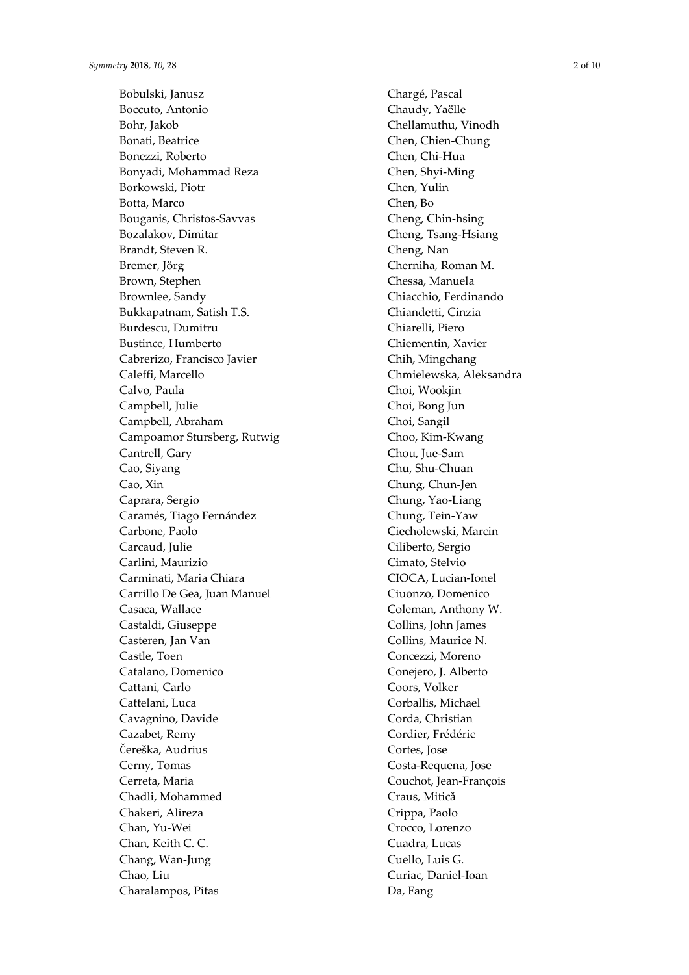Bobulski, Janusz Boccuto, Antonio Bohr, Jakob Bonati, Beatrice Bonezzi, Roberto Bonyadi, Mohammad Reza Borkowski, Piotr Botta, Marco Bouganis, Christos -Savvas Bozalakov, Dimitar Brandt, Steven R. Bremer, Jörg Brown, Stephen Brownlee, Sandy Bukkapatnam, Satish T.S. Burdescu, Dumitru Bustince, Humberto Cabrerizo, Francisco Javier Caleffi, Marcello Calvo, Paula Campbell, Julie Campbell, Abraham Campoamor Stursberg, Rutwig Cantrell, Gary Cao, Siyang Cao, Xin Caprara, Sergio Caramés, Tiago Fernández Carbone, Paolo Carcaud, Julie Carlini, Maurizio Carminati, Maria Chiara Carrillo De Gea, Juan Manuel Casaca, Wallace Castaldi, Giuseppe Casteren, Jan Van Castle, Toen Catalano, Domenico Cattani, Carlo Cattelani, Luca Cavagnino, Davide Cazabet, Remy Čereška, Audrius Cerny, Tomas Cerreta, Maria Chadli, Mohammed Chakeri, Alireza Chan, Yu -Wei Chan, Keith C. C. Chang, Wan -Jung Chao, Liu Charalampos, Pitas

Chargé, Pascal Chaudy, Yaëlle Chellamuthu, Vinodh Chen, Chien -Chung Chen, Chi -Hua Chen, Shyi -Ming Chen, Yulin Chen, Bo Cheng, Chin -hsing Cheng, Tsang -Hsiang Cheng, Nan Cherniha, Roman M. Chessa, Manuela Chiacchio, Ferdinando Chiandetti, Cinzia Chiarelli, Piero Chiementin, Xavier Chih, Mingchang Chmielewska, Aleksandra Choi, Wookjin Choi, Bong Jun Choi, Sangil Choo, Kim -Kwang Chou, Jue -Sam Chu, Shu -Chuan Chung, Chun -Jen Chung, Yao -Liang Chung, Tein -Yaw Ciecholewski, Marcin Ciliberto, Sergio Cimato, Stelvio CIOCA, Lucian -Ionel Ciuonzo, Domenico Coleman, Anthony W. Collins, John James Collins, Maurice N. Concezzi, Moreno Conejero, J. Alberto Coors, Volker Corballis, Michael Corda, Christian Cordier, Frédéric Cortes, Jose Costa -Requena, Jose Couchot, Jean -François Craus, Mitic ǎ Crippa, Paolo Crocco, Lorenzo Cuadra, Lucas Cuello, Luis G. Curiac, Daniel -Ioan Da, Fang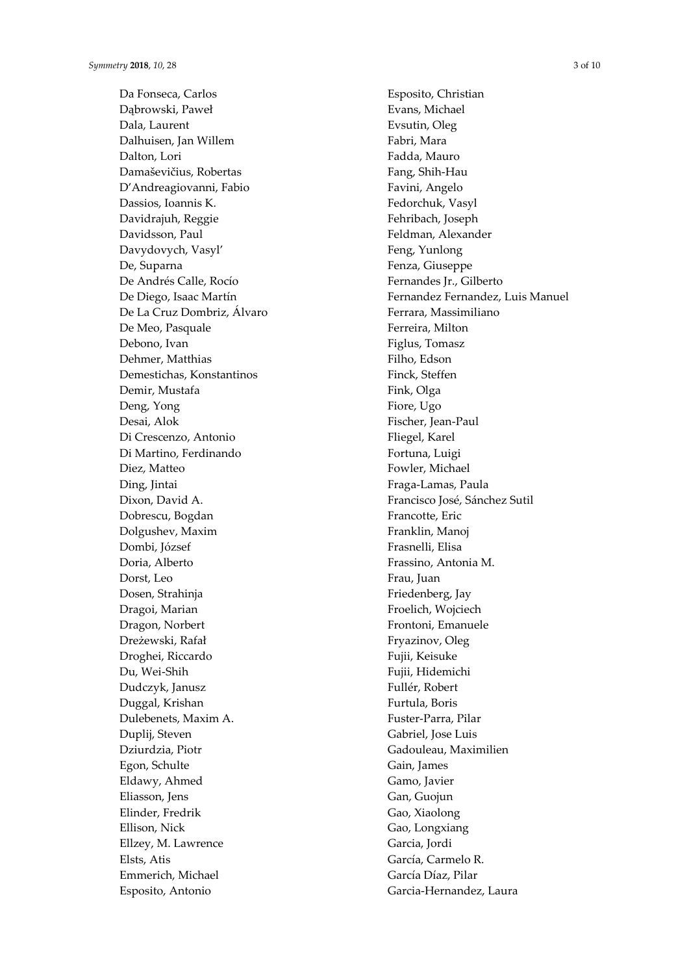Da Fonseca, Carlos Dąbrowski, Paweł Dala, Laurent Dalhuisen, Jan Willem Dalton, Lori Damaševičius, Robertas D'Andreagiovanni, Fabio Dassios, Ioannis K. Davidrajuh, Reggie Davidsson, Paul Davydovych, Vasyl' De, Suparna De Andrés Calle, Rocío De Diego, Isaac Martín De La Cruz Dombriz, Álvaro De Meo, Pasquale Debono, Ivan Dehmer, Matthias Demestichas, Konstantinos Demir, Mustafa Deng, Yong Desai, Alok Di Crescenzo, Antonio Di Martino, Ferdinando Diez, Matteo Ding, Jintai Dixon, David A. Dobrescu, Bogdan Dolgushev, Maxim Dombi, József Doria, Alberto Dorst, Leo Dosen, Strahinja Dragoi, Marian Dragon, Norbert Dreżewski, Rafał Droghei, Riccardo Du, Wei-Shih Dudczyk, Janusz Duggal, Krishan Dulebenets, Maxim A. Duplij, Steven Dziurdzia, Piotr Egon, Schulte Eldawy, Ahmed Eliasson, Jens Elinder, Fredrik Ellison, Nick Ellzey, M. Lawrence Elsts, Atis Emmerich, Michael Esposito, Antonio

Esposito, Christian Evans, Michael Evsutin, Oleg Fabri, Mara Fadda, Mauro Fang, Shih-Hau Favini, Angelo Fedorchuk, Vasyl Fehribach, Joseph Feldman, Alexander Feng, Yunlong Fenza, Giuseppe Fernandes Jr., Gilberto Fernandez Fernandez, Luis Manuel Ferrara, Massimiliano Ferreira, Milton Figlus, Tomasz Filho, Edson Finck, Steffen Fink, Olga Fiore, Ugo Fischer, Jean-Paul Fliegel, Karel Fortuna, Luigi Fowler, Michael Fraga-Lamas, Paula Francisco José, Sánchez Sutil Francotte, Eric Franklin, Manoj Frasnelli, Elisa Frassino, Antonia M. Frau, Juan Friedenberg, Jay Froelich, Wojciech Frontoni, Emanuele Fryazinov, Oleg Fujii, Keisuke Fujii, Hidemichi Fullér, Robert Furtula, Boris Fuster-Parra, Pilar Gabriel, Jose Luis Gadouleau, Maximilien Gain, James Gamo, Javier Gan, Guojun Gao, Xiaolong Gao, Longxiang Garcia, Jordi García, Carmelo R. García Díaz, Pilar Garcia-Hernandez, Laura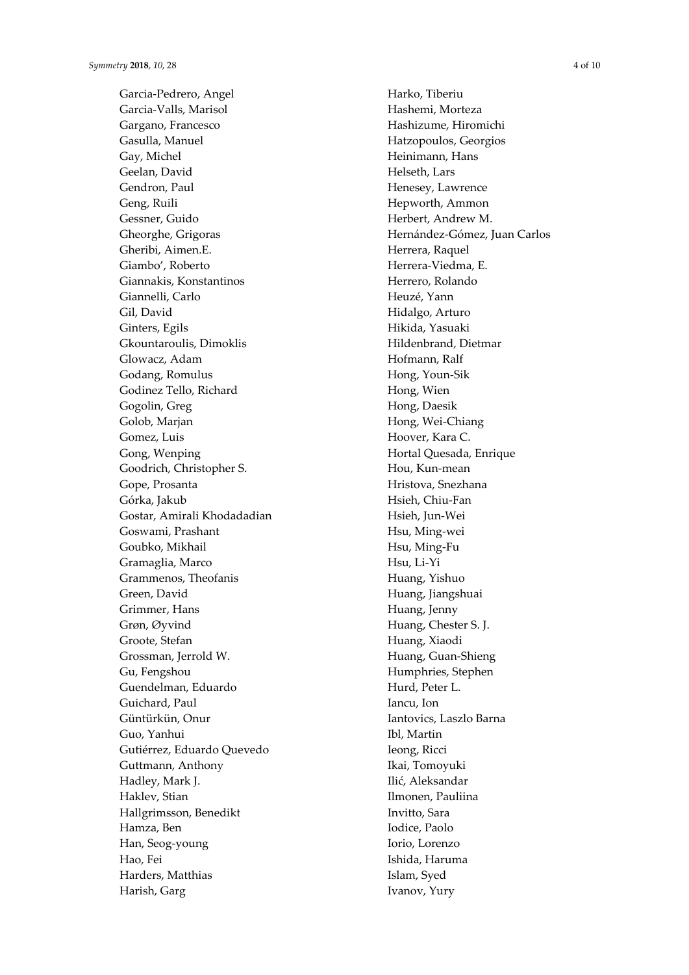Garcia-Pedrero, Angel Garcia-Valls, Marisol Gargano, Francesco Gasulla, Manuel Gay, Michel Geelan, David Gendron, Paul Geng, Ruili Gessner, Guido Gheorghe, Grigoras Gheribi, Aimen.E. Giambo', Roberto Giannakis, Konstantinos Giannelli, Carlo Gil, David Ginters, Egils Gkountaroulis, Dimoklis Glowacz, Adam Godang, Romulus Godinez Tello, Richard Gogolin, Greg Golob, Marjan Gomez, Luis Gong, Wenping Goodrich, Christopher S. Gope, Prosanta Górka, Jakub Gostar, Amirali Khodadadian Goswami, Prashant Goubko, Mikhail Gramaglia, Marco Grammenos, Theofanis Green, David Grimmer, Hans Grøn, Øyvind Groote, Stefan Grossman, Jerrold W. Gu, Fengshou Guendelman, Eduardo Guichard, Paul Güntürkün, Onur Guo, Yanhui Gutiérrez, Eduardo Quevedo Guttmann, Anthony Hadley, Mark J. Haklev, Stian Hallgrimsson, Benedikt Hamza, Ben Han, Seog-young Hao, Fei Harders, Matthias Harish, Garg

Harko, Tiberiu Hashemi, Morteza Hashizume, Hiromichi Hatzopoulos, Georgios Heinimann, Hans Helseth, Lars Henesey, Lawrence Hepworth, Ammon Herbert, Andrew M. Hernández-Gómez, Juan Carlos Herrera, Raquel Herrera-Viedma, E. Herrero, Rolando Heuzé, Yann Hidalgo, Arturo Hikida, Yasuaki Hildenbrand, Dietmar Hofmann, Ralf Hong, Youn-Sik Hong, Wien Hong, Daesik Hong, Wei-Chiang Hoover, Kara C. Hortal Quesada, Enrique Hou, Kun-mean Hristova, Snezhana Hsieh, Chiu-Fan Hsieh, Jun-Wei Hsu, Ming-wei Hsu, Ming-Fu Hsu, Li-Yi Huang, Yishuo Huang, Jiangshuai Huang, Jenny Huang, Chester S. J. Huang, Xiaodi Huang, Guan-Shieng Humphries, Stephen Hurd, Peter L. Iancu, Ion Iantovics, Laszlo Barna Ibl, Martin Ieong, Ricci Ikai, Tomoyuki Ilić, Aleksandar Ilmonen, Pauliina Invitto, Sara Iodice, Paolo Iorio, Lorenzo Ishida, Haruma Islam, Syed Ivanov, Yury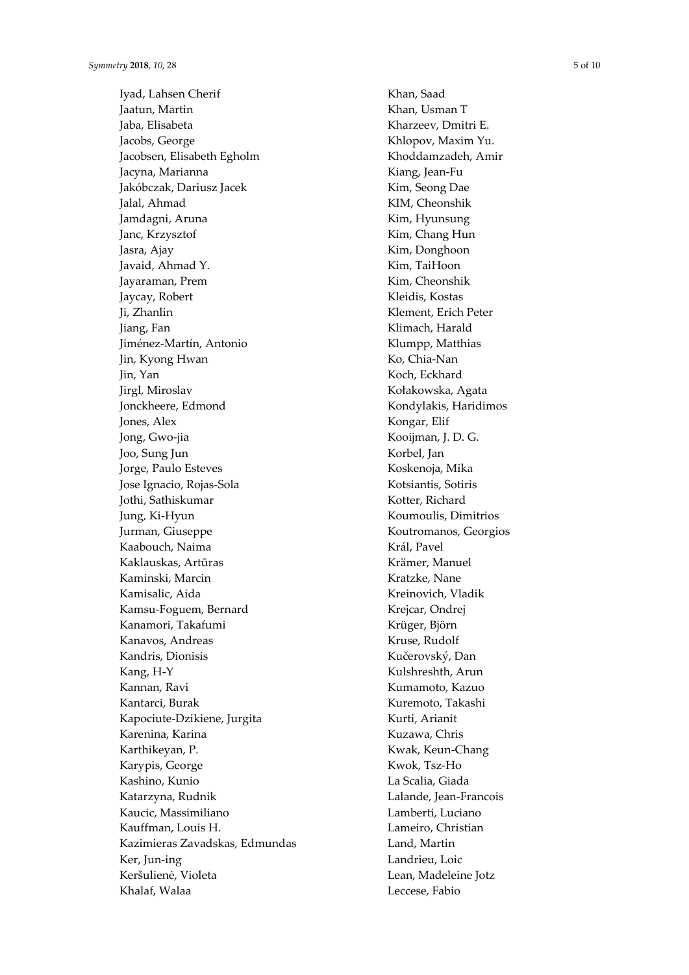Iyad, Lahsen Cherif Jaatun, Martin Jaba, Elisabeta Jacobs, George Jacobsen, Elisabeth Egholm Jacyna, Marianna Jakóbczak, Dariusz Jacek Jalal, Ahmad Jamdagni, Aruna Janc, Krzysztof Jasra, Ajay Javaid, Ahmad Y. Jayaraman, Prem Jaycay, Robert Ji, Zhanlin Jiang, Fan Jiménez -Martín, Antonio Jin, Kyong Hwan Jin, Yan Jirgl, Miroslav Jonckheere, Edmond Jones, Alex Jong, Gwo -jia Joo, Sung Jun Jorge, Paulo Esteves Jose Ignacio, Rojas -Sola Jothi, Sathiskumar Jung, Ki -Hyun Jurman, Giuseppe Kaabouch, Naima Kaklauskas, Artūras Kaminski, Marcin Kamisalic, Aida Kamsu -Foguem, Bernard Kanamori, Takafumi Kanavos, Andreas Kandris, Dionisis Kang, H - Y Kannan, Ravi Kantarci, Burak Kapociute -Dzikiene, Jurgita Karenina, Karina Karthikeyan, P. Karypis, George Kashino, Kunio Katarzyna, Rudnik Kaucic, Massimiliano Kauffman, Louis H. Kazimieras Zavadskas, Edmundas Ker, Jun -ing Keršulienė, Violeta Khalaf, Walaa

Khan, Saad Khan, Usman T Kharzeev, Dmitri E. Khlopov, Maxim Yu. Khoddamzadeh, Amir Kiang, Jean -Fu Kim, Seong Dae KIM, Cheonshik Kim, Hyunsung Kim, Chang Hun Kim, Donghoon Kim, TaiHoon Kim, Cheonshik Kleidis, Kostas Klement, Erich Peter Klimach, Harald Klumpp, Matthias Ko, Chia -Nan Koch, Eckhard Kołakowska, Agata Kondylakis, Haridimos Kongar, Elif Kooijman, J. D. G. Korbel, Jan Koskenoja, Mika Kotsiantis, Sotiris Kotter, Richard Koumoulis, Dimitrios Koutromanos, Georgios Král, Pavel Krämer, Manuel Kratzke, Nane Kreinovich, Vladik Krejcar, Ondrej Krüger, Björn Kruse, Rudolf Kučerovský, Dan Kulshreshth, Arun Kumamoto, Kazuo Kuremoto, Takashi Kurti, Arianit Kuzawa, Chris Kwak, Keun -Chang Kwok, Tsz -Ho La Scalia, Giada Lalande, Jean -Francois Lamberti, Luciano Lameiro, Christian Land, Martin Landrieu, Loic Lean, Madeleine Jotz Leccese, Fabio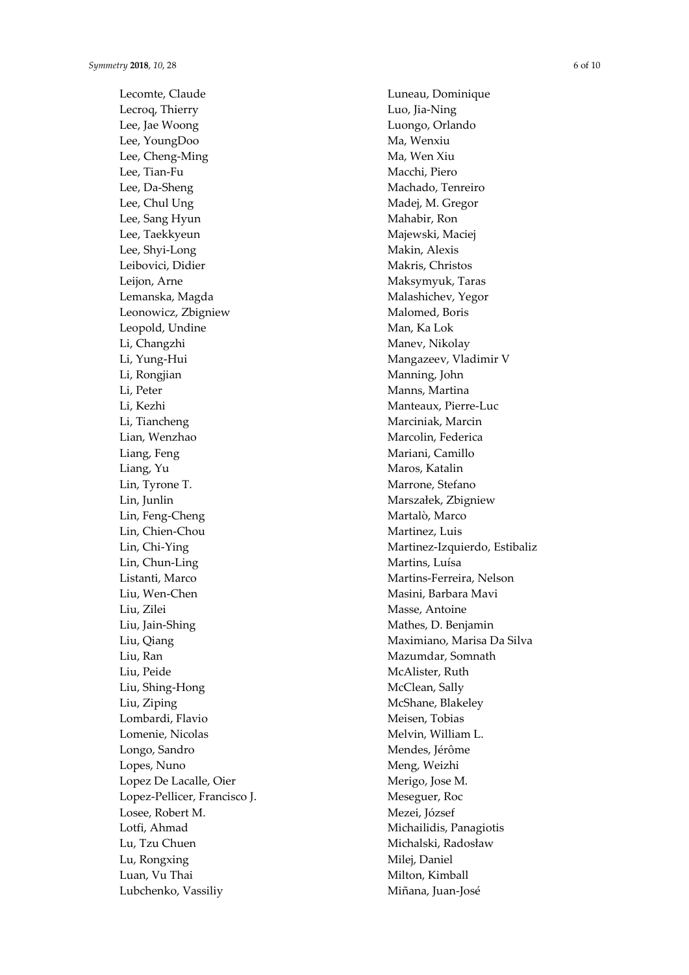Lecomte, Claude Lecroq, Thierry Lee, Jae Woong Lee, YoungDoo Lee, Cheng -Ming Lee, Tian -Fu Lee, Da -Sheng Lee, Chul Ung Lee, Sang Hyun Lee, Taekkyeun Lee, Shyi -Long Leibovici, Didier Leijon, Arne Lemanska, Magda Leonowicz, Zbigniew Leopold, Undine Li, Changzhi Li, Yung -Hui Li, Rongjian Li, Peter Li, Kezhi Li, Tiancheng Lian, Wenzhao Liang, Feng Liang, Yu Lin, Tyrone T. Lin, Junlin Lin, Feng -Cheng Lin, Chien -Chou Lin, Chi -Ying Lin, Chun -Ling Listanti, Marco Liu, Wen -Chen Liu, Zilei Liu, Jain -Shing Liu, Qiang Liu, Ran Liu, Peide Liu, Shing -Hong Liu, Ziping Lombardi, Flavio Lomenie, Nicolas Longo, Sandro Lopes, Nuno Lopez De Lacalle, Oier Lopez -Pellicer, Francisco J. Losee, Robert M. Lotfi, Ahmad Lu, Tzu Chuen Lu, Rongxing Luan, Vu Thai Lubchenko, Vassiliy

Luneau, Dominique Luo, Jia -Ning Luongo, Orlando Ma, Wenxiu Ma, Wen Xiu Macchi, Piero Machado, Tenreiro Madej, M. Gregor Mahabir, Ron Majewski, Maciej Makin, Alexis Makris, Christos Maksymyuk, Taras Malashichev, Yegor Malomed, Boris Man, Ka Lok Manev, Nikolay Mangazeev, Vladimir V Manning, John Manns, Martina Manteaux, Pierre -Luc Marciniak, Marcin Marcolin, Federica Mariani, Camillo Maros, Katalin Marrone, Stefano Marszałek, Zbigniew Martalò, Marco Martinez, Luis Martinez -Izquierdo, Estibaliz Martins, Luísa Martins -Ferreira, Nelson Masini, Barbara Mavi Masse, Antoine Mathes, D. Benjamin Maximiano, Marisa Da Silva Mazumdar, Somnath McAlister, Ruth McClean, Sally McShane, Blakeley Meisen, Tobias Melvin, William L. Mendes, Jérôme Meng, Weizhi Merigo, Jose M. Meseguer, Roc Mezei, József Michailidis, Panagiotis Michalski, Radosław Milej, Daniel Milton, Kimball Miñana, Juan -José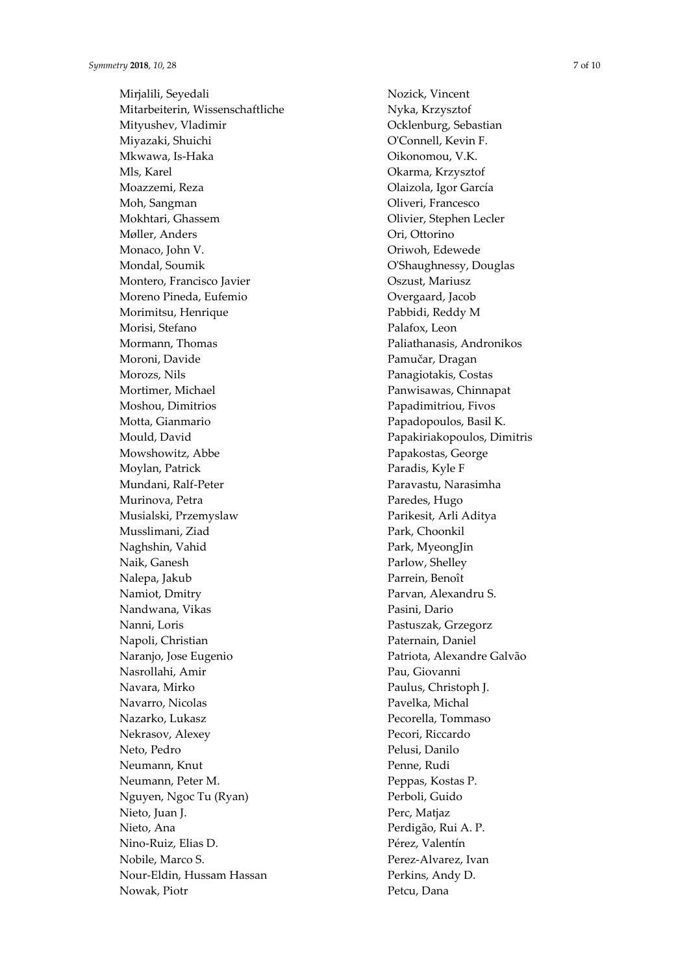Mirjalili, Seyedali Mitarbeiterin, Wissenschaftliche Mityushev, Vladimir Miyazaki, Shuichi Mkwawa, Is -Haka Mls, Karel Moazzemi, Reza Moh, Sangman Mokhtari, Ghassem Møller, Anders Monaco, John V. Mondal, Soumik Montero, Francisco Javier Moreno Pineda, Eufemio Morimitsu, Henrique Morisi, Stefano Mormann, Thomas Moroni, Davide Morozs, Nils Mortimer, Michael Moshou, Dimitrios Motta, Gianmario Mould, David Mowshowitz, Abbe Moylan, Patrick Mundani, Ralf -Peter Murinova, Petra Musialski, Przemyslaw Musslimani, Ziad Naghshin, Vahid Naik, Ganesh Nalepa, Jakub Namiot, Dmitry Nandwana, Vikas Nanni, Loris Napoli, Christian Naranjo, Jose Eugenio Nasrollahi, Amir Navara, Mirko Navarro, Nicolas Nazarko, Lukasz Nekrasov, Alexey Neto, Pedro Neumann, Knut Neumann, Peter M. Nguyen, Ngoc Tu (Ryan) Nieto, Juan J. Nieto, Ana Nino -Ruiz, Elias D. Nobile, Marco S. Nour -Eldin, Hussam Hassan Nowak, Piotr

Nozick, Vincent Nyka, Krzysztof Ocklenburg, Sebastian O'Connell, Kevin F. Oikonomou, V.K. Okarma, Krzysztof Olaizola, Igor García Oliveri, Francesco Olivier, Stephen Lecler Ori, Ottorino Oriwoh, Edewede O'Shaughnessy, Douglas Oszust, Mariusz Overgaard, Jacob Pabbidi, Reddy M Palafox, Leon Paliathanasis, Andronikos Pamučar, Dragan Panagiotakis, Costas Panwisawas, Chinnapat Papadimitriou, Fivos Papadopoulos, Basil K. Papakiriakopoulos, Dimitris Papakostas, George Paradis, Kyle F Paravastu, Narasimha Paredes, Hugo Parikesit, Arli Aditya Park, Choonkil Park, MyeongJin Parlow, Shelley Parrein, Benoît Parvan, Alexandru S. Pasini, Dario Pastuszak, Grzegorz Paternain, Daniel Patriota, Alexandre Galvão Pau, Giovanni Paulus, Christoph J. Pavelka, Michal Pecorella, Tommaso Pecori, Riccardo Pelusi, Danilo Penne, Rudi Peppas, Kostas P. Perboli, Guido Perc, Matjaz Perdigão, Rui A. P. Pérez, Valentín Perez -Alvarez, Ivan Perkins, Andy D. Petcu, Dana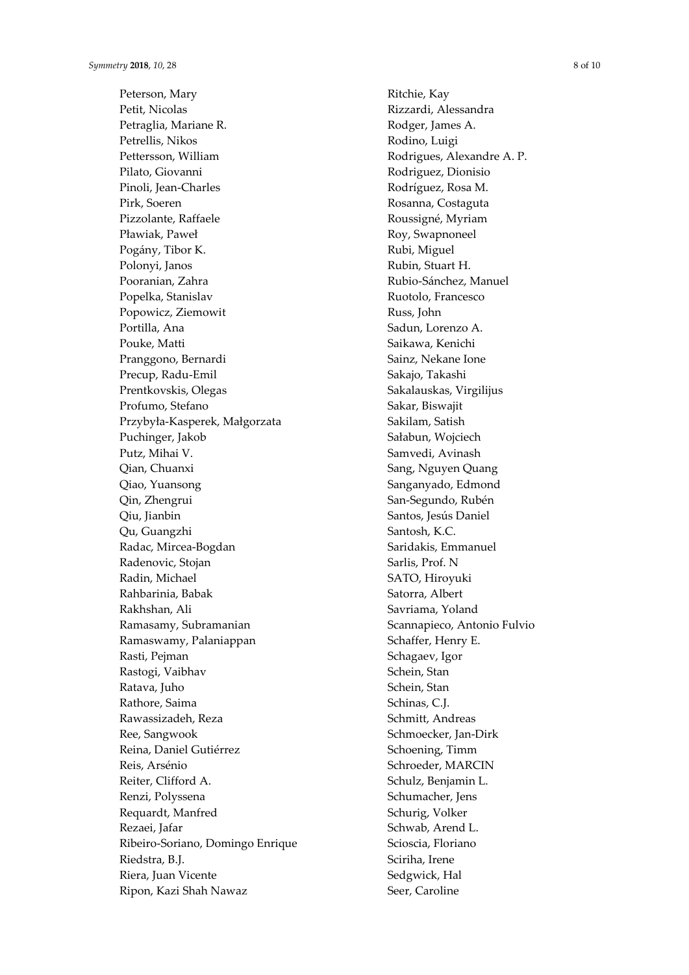Peterson, Mary Petit, Nicolas Petraglia, Mariane R. Petrellis, Nikos Pettersson, William Pilato, Giovanni Pinoli, Jean-Charles Pirk, Soeren Pizzolante, Raffaele Pławiak, Paweł Pogány, Tibor K. Polonyi, Janos Pooranian, Zahra Popelka, Stanislav Popowicz, Ziemowit Portilla, Ana Pouke, Matti Pranggono, Bernardi Precup, Radu-Emil Prentkovskis, Olegas Profumo, Stefano Przybyła-Kasperek, Małgorzata Puchinger, Jakob Putz, Mihai V. Qian, Chuanxi Qiao, Yuansong Qin, Zhengrui Qiu, Jianbin Qu, Guangzhi Radac, Mircea-Bogdan Radenovic, Stojan Radin, Michael Rahbarinia, Babak Rakhshan, Ali Ramasamy, Subramanian Ramaswamy, Palaniappan Rasti, Pejman Rastogi, Vaibhav Ratava, Juho Rathore, Saima Rawassizadeh, Reza Ree, Sangwook Reina, Daniel Gutiérrez Reis, Arsénio Reiter, Clifford A. Renzi, Polyssena Requardt, Manfred Rezaei, Jafar Ribeiro-Soriano, Domingo Enrique Riedstra, B.J. Riera, Juan Vicente Ripon, Kazi Shah Nawaz

Ritchie, Kay Rizzardi, Alessandra Rodger, James A. Rodino, Luigi Rodrigues, Alexandre A. P. Rodriguez, Dionisio Rodríguez, Rosa M. Rosanna, Costaguta Roussigné, Myriam Roy, Swapnoneel Rubi, Miguel Rubin, Stuart H. Rubio-Sánchez, Manuel Ruotolo, Francesco Russ, John Sadun, Lorenzo A. Saikawa, Kenichi Sainz, Nekane Ione Sakajo, Takashi Sakalauskas, Virgilijus Sakar, Biswajit Sakilam, Satish Sałabun, Wojciech Samvedi, Avinash Sang, Nguyen Quang Sanganyado, Edmond San-Segundo, Rubén Santos, Jesús Daniel Santosh, K.C. Saridakis, Emmanuel Sarlis, Prof. N SATO, Hiroyuki Satorra, Albert Savriama, Yoland Scannapieco, Antonio Fulvio Schaffer, Henry E. Schagaev, Igor Schein, Stan Schein, Stan Schinas, C.J. Schmitt, Andreas Schmoecker, Jan-Dirk Schoening, Timm Schroeder, MARCIN Schulz, Benjamin L. Schumacher, Jens Schurig, Volker Schwab, Arend L. Scioscia, Floriano Sciriha, Irene Sedgwick, Hal Seer, Caroline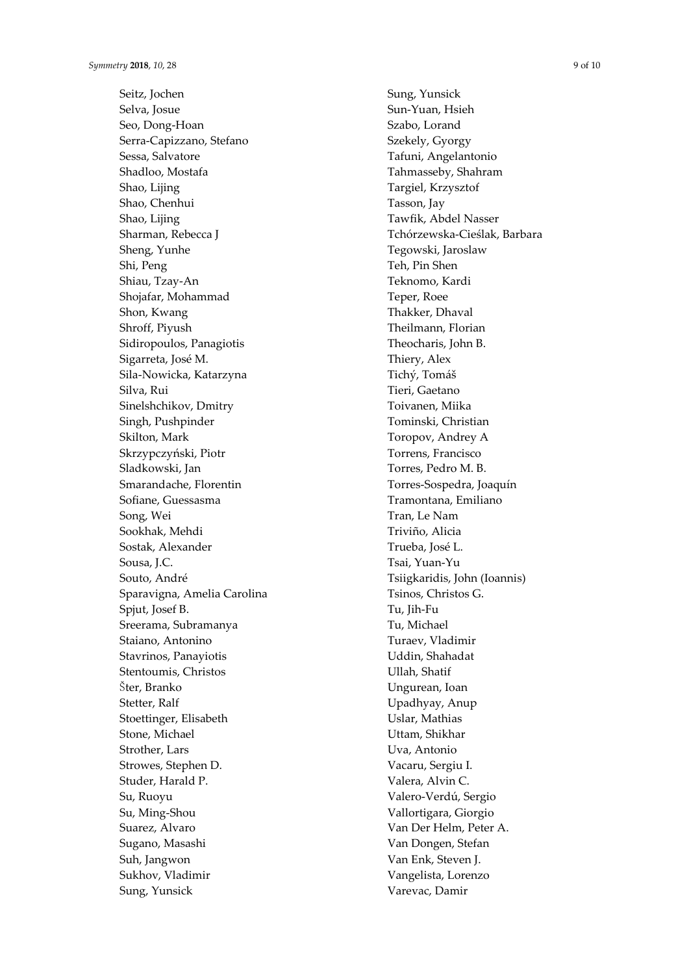Seitz, Jochen Selva, Josue Seo, Dong -Hoan Serra -Capizzano, Stefano Sessa, Salvatore Shadloo, Mostafa Shao, Lijing Shao, Chenhui Shao, Lijing Sharman, Rebecca J Sheng, Yunhe Shi, Peng Shiau, Tzay -An Shojafar, Mohammad Shon, Kwang Shroff, Piyush Sidiropoulos, Panagiotis Sigarreta, José M. Sila -Nowicka, Katarzyna Silva, Rui Sinelshchikov, Dmitry Singh, Pushpinder Skilton, Mark Skrzypczyński, Piotr Sladkowski, Jan Smarandache, Florentin Sofiane, Guessasma Song, Wei Sookhak, Mehdi Sostak, Alexander Sousa, I.C. Souto, André Sparavigna, Amelia Carolina Spjut, Josef B. Sreerama, Subramanya Staiano, Antonino Stavrinos, Panayiotis Stentoumis, Christos Šter, Branko Stetter, Ralf Stoettinger, Elisabeth Stone, Michael Strother, Lars Strowes, Stephen D. Studer, Harald P. Su, Ruoyu Su, Ming -Shou Suarez, Alvaro Sugano, Masashi Suh, Jangwon Sukhov, Vladimir Sung, Yunsick

Sung, Yunsick Sun -Yuan, Hsieh Szabo, Lorand Szekely, Gyorgy Tafuni, Angelantonio Tahmasseby, Shahram Targiel, Krzysztof Tasson, Jay Tawfik, Abdel Nasser Tchórzewska -Cieślak, Barbara Tegowski, Jaroslaw Teh, Pin Shen Teknomo, Kardi Teper, Roee Thakker, Dhaval Theilmann, Florian Theocharis, John B. Thiery, Alex Tichý, Tomáš Tieri, Gaetano Toivanen, Miika Tominski, Christian Toropov, Andrey A Torrens, Francisco Torres, Pedro M. B. Torres -Sospedra, Joaquín Tramontana, Emiliano Tran, Le Nam Triviño, Alicia Trueba, José L. Tsai, Yuan -Yu Tsiigkaridis, John (Ioannis) Tsinos, Christos G. Tu, Jih -Fu Tu, Michael Turaev, Vladimir Uddin, Shahadat Ullah, Shatif Ungurean, Ioan Upadhyay, Anup Uslar, Mathias Uttam, Shikhar Uva, Antonio Vacaru, Sergiu I. Valera, Alvin C. Valero -Verdú, Sergio Vallortigara, Giorgio Van Der Helm, Peter A. Van Dongen, Stefan Van Enk, Steven J. Vangelista, Lorenzo Varevac, Damir